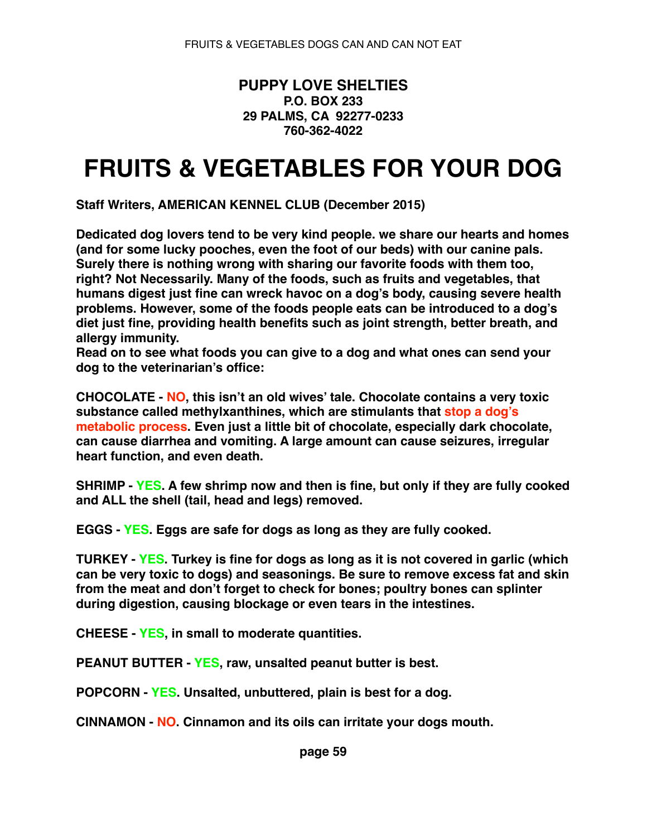## **PUPPY LOVE SHELTIES P.O. BOX 233 29 PALMS, CA 92277-0233 760-362-4022**

## **FRUITS & VEGETABLES FOR YOUR DOG**

**Staff Writers, AMERICAN KENNEL CLUB (December 2015)**

**Dedicated dog lovers tend to be very kind people. we share our hearts and homes (and for some lucky pooches, even the foot of our beds) with our canine pals. Surely there is nothing wrong with sharing our favorite foods with them too, right? Not Necessarily. Many of the foods, such as fruits and vegetables, that humans digest just fine can wreck havoc on a dog's body, causing severe health problems. However, some of the foods people eats can be introduced to a dog's diet just fine, providing health benefits such as joint strength, better breath, and allergy immunity.**

**Read on to see what foods you can give to a dog and what ones can send your dog to the veterinarian's office:**

**CHOCOLATE - NO, this isn't an old wives' tale. Chocolate contains a very toxic substance called methylxanthines, which are stimulants that stop a dog's metabolic process. Even just a little bit of chocolate, especially dark chocolate, can cause diarrhea and vomiting. A large amount can cause seizures, irregular heart function, and even death.**

**SHRIMP - YES. A few shrimp now and then is fine, but only if they are fully cooked and ALL the shell (tail, head and legs) removed.**

**EGGS - YES. Eggs are safe for dogs as long as they are fully cooked.**

**TURKEY - YES. Turkey is fine for dogs as long as it is not covered in garlic (which can be very toxic to dogs) and seasonings. Be sure to remove excess fat and skin from the meat and don't forget to check for bones; poultry bones can splinter during digestion, causing blockage or even tears in the intestines.**

**CHEESE - YES, in small to moderate quantities.**

**PEANUT BUTTER - YES, raw, unsalted peanut butter is best.**

**POPCORN - YES. Unsalted, unbuttered, plain is best for a dog.**

**CINNAMON - NO. Cinnamon and its oils can irritate your dogs mouth.**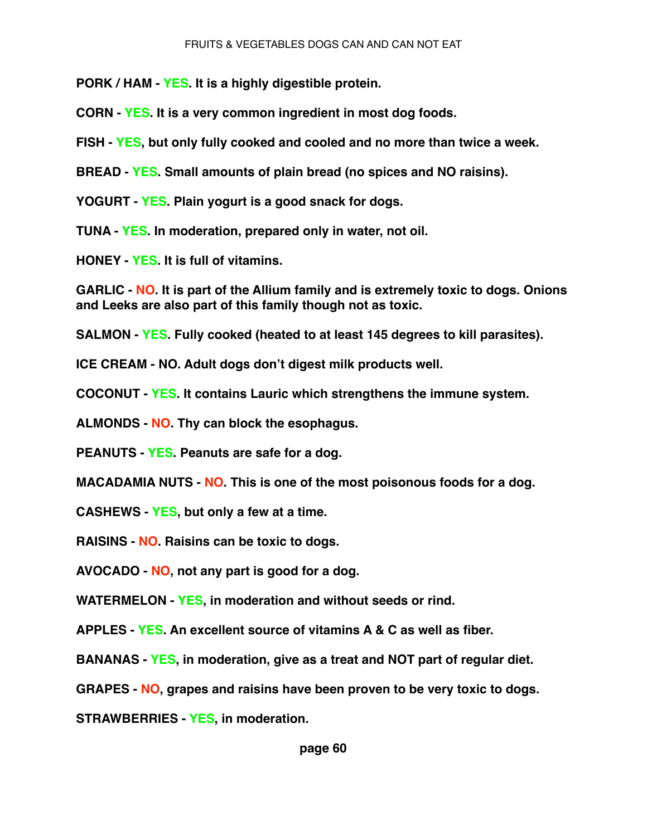**PORK / HAM - YES. It is a highly digestible protein.**

**CORN - YES. It is a very common ingredient in most dog foods.**

**FISH - YES, but only fully cooked and cooled and no more than twice a week.**

**BREAD - YES. Small amounts of plain bread (no spices and NO raisins).**

**YOGURT - YES. Plain yogurt is a good snack for dogs.**

**TUNA - YES. In moderation, prepared only in water, not oil.**

**HONEY - YES. It is full of vitamins.**

**GARLIC - NO. It is part of the Allium family and is extremely toxic to dogs. Onions and Leeks are also part of this family though not as toxic.**

**SALMON - YES. Fully cooked (heated to at least 145 degrees to kill parasites).**

**ICE CREAM - NO. Adult dogs don't digest milk products well.**

**COCONUT - YES. It contains Lauric which strengthens the immune system.**

**ALMONDS - NO. Thy can block the esophagus.**

**PEANUTS - YES. Peanuts are safe for a dog.**

**MACADAMIA NUTS - NO. This is one of the most poisonous foods for a dog.**

**CASHEWS - YES, but only a few at a time.**

**RAISINS - NO. Raisins can be toxic to dogs.**

**AVOCADO - NO, not any part is good for a dog.**

**WATERMELON - YES, in moderation and without seeds or rind.**

**APPLES - YES. An excellent source of vitamins A & C as well as fiber.**

**BANANAS - YES, in moderation, give as a treat and NOT part of regular diet.**

**GRAPES - NO, grapes and raisins have been proven to be very toxic to dogs.**

**STRAWBERRIES - YES, in moderation.**